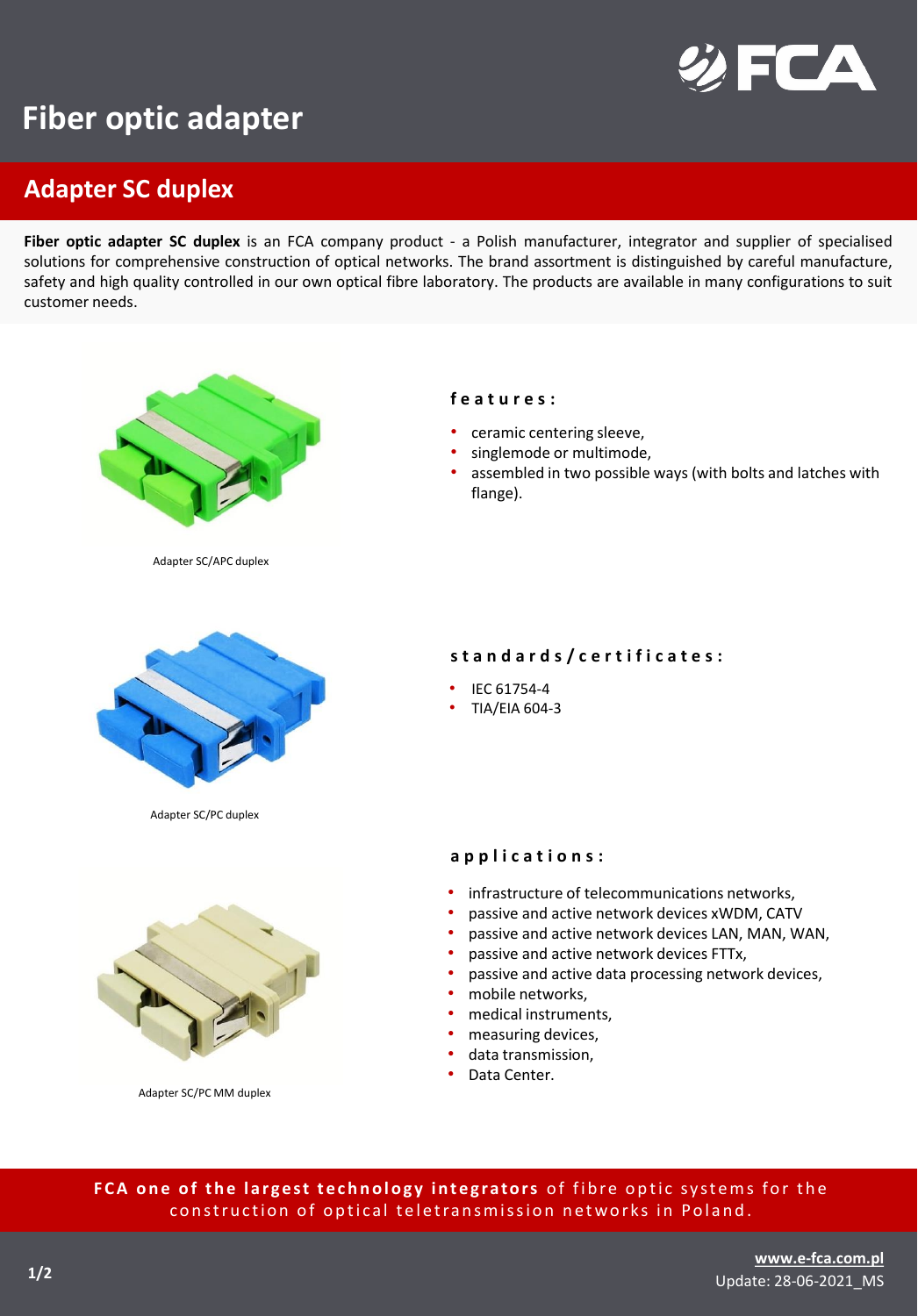

## **Fiber optic adapter**

## **Adapter SC duplex**

**Fiber optic adapter SC duplex** is an FCA company product - a Polish manufacturer, integrator and supplier of specialised solutions for comprehensive construction of optical networks. The brand assortment is distinguished by careful manufacture, safety and high quality controlled in our own optical fibre laboratory. The products are available in many configurations to suit customer needs.





Adapter SC/PC MM duplex

- infrastructure of telecommunications networks,
- passive and active network devices xWDM, CATV
- passive and active network devices LAN, MAN, WAN,
- passive and active network devices FTTx,
- passive and active data processing network devices,
- mobile networks,
- medical instruments,
- measuring devices,
- data transmission,
- Data Center.

FCA one of the largest technology integrators of fibre optic systems for the construction of optical teletransmission networks in Poland.